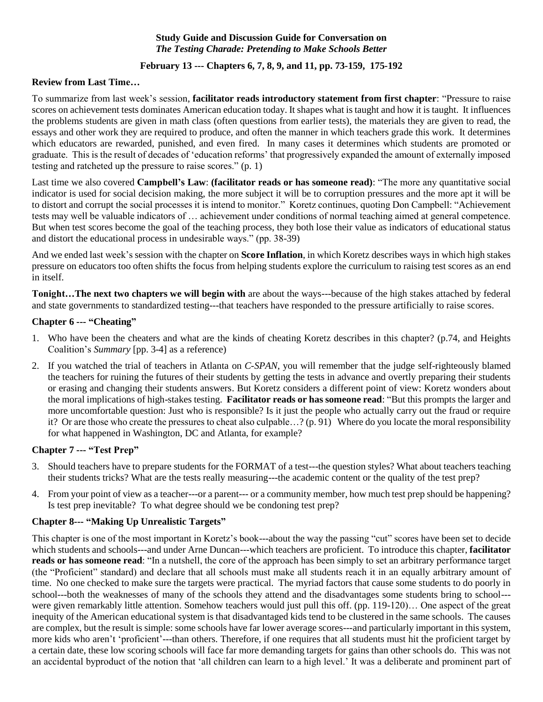## **Study Guide and Discussion Guide for Conversation on**  *The Testing Charade: Pretending to Make Schools Better*

# **February 13 --- Chapters 6, 7, 8, 9, and 11, pp. 73-159, 175-192**

## **Review from Last Time…**

To summarize from last week's session, **facilitator reads introductory statement from first chapter**: "Pressure to raise scores on achievement tests dominates American education today. It shapes what is taught and how it is taught. It influences the problems students are given in math class (often questions from earlier tests), the materials they are given to read, the essays and other work they are required to produce, and often the manner in which teachers grade this work. It determines which educators are rewarded, punished, and even fired. In many cases it determines which students are promoted or graduate. This is the result of decades of 'education reforms' that progressively expanded the amount of externally imposed testing and ratcheted up the pressure to raise scores." (p. 1)

Last time we also covered **Campbell's Law**: **(facilitator reads or has someone read)**: "The more any quantitative social indicator is used for social decision making, the more subject it will be to corruption pressures and the more apt it will be to distort and corrupt the social processes it is intend to monitor." Koretz continues, quoting Don Campbell: "Achievement tests may well be valuable indicators of … achievement under conditions of normal teaching aimed at general competence. But when test scores become the goal of the teaching process, they both lose their value as indicators of educational status and distort the educational process in undesirable ways." (pp. 38-39)

And we ended last week's session with the chapter on **Score Inflation**, in which Koretz describes ways in which high stakes pressure on educators too often shifts the focus from helping students explore the curriculum to raising test scores as an end in itself.

**Tonight…The next two chapters we will begin with** are about the ways---because of the high stakes attached by federal and state governments to standardized testing---that teachers have responded to the pressure artificially to raise scores.

## **Chapter 6 --- "Cheating"**

- 1. Who have been the cheaters and what are the kinds of cheating Koretz describes in this chapter? (p.74, and Heights Coalition's *Summary* [pp. 3-4] as a reference)
- 2. If you watched the trial of teachers in Atlanta on *C-SPAN*, you will remember that the judge self-righteously blamed the teachers for ruining the futures of their students by getting the tests in advance and overtly preparing their students or erasing and changing their students answers. But Koretz considers a different point of view: Koretz wonders about the moral implications of high-stakes testing. **Facilitator reads or has someone read**: "But this prompts the larger and more uncomfortable question: Just who is responsible? Is it just the people who actually carry out the fraud or require it? Or are those who create the pressures to cheat also culpable…? (p. 91) Where do you locate the moral responsibility for what happened in Washington, DC and Atlanta, for example?

#### **Chapter 7 --- "Test Prep"**

- 3. Should teachers have to prepare students for the FORMAT of a test---the question styles? What about teachers teaching their students tricks? What are the tests really measuring---the academic content or the quality of the test prep?
- 4. From your point of view as a teacher---or a parent--- or a community member, how much test prep should be happening? Is test prep inevitable? To what degree should we be condoning test prep?

# **Chapter 8--- "Making Up Unrealistic Targets"**

This chapter is one of the most important in Koretz's book---about the way the passing "cut" scores have been set to decide which students and schools---and under Arne Duncan---which teachers are proficient. To introduce this chapter, **facilitator reads or has someone read**: "In a nutshell, the core of the approach has been simply to set an arbitrary performance target (the "Proficient" standard) and declare that all schools must make all students reach it in an equally arbitrary amount of time. No one checked to make sure the targets were practical. The myriad factors that cause some students to do poorly in school---both the weaknesses of many of the schools they attend and the disadvantages some students bring to school-- were given remarkably little attention. Somehow teachers would just pull this off. (pp. 119-120)… One aspect of the great inequity of the American educational system is that disadvantaged kids tend to be clustered in the same schools. The causes are complex, but the result is simple: some schools have far lower average scores---and particularly important in this system, more kids who aren't 'proficient'---than others. Therefore, if one requires that all students must hit the proficient target by a certain date, these low scoring schools will face far more demanding targets for gains than other schools do. This was not an accidental byproduct of the notion that 'all children can learn to a high level.' It was a deliberate and prominent part of